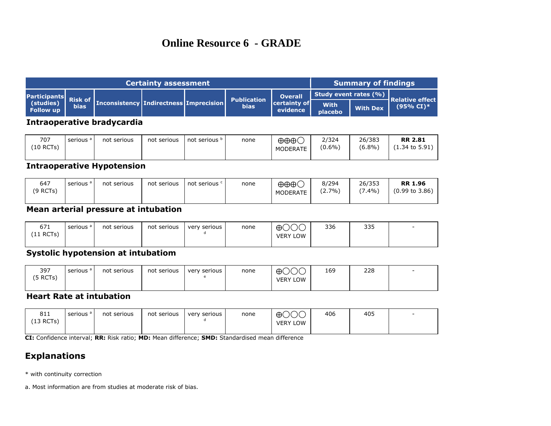# **Online Resource 6 - GRADE**

| <b>Certainty assessment</b>                         |  |                                               |  |  |                                   |                                              | Summary of findings           |                 |                                                 |  |
|-----------------------------------------------------|--|-----------------------------------------------|--|--|-----------------------------------|----------------------------------------------|-------------------------------|-----------------|-------------------------------------------------|--|
| Participants<br>(studies) Risk of<br>Follow up bias |  | <b>Inconsistency Indirectness Imprecision</b> |  |  | <b>Publication</b><br><b>bias</b> | <b>Overall</b><br> certainty of <br>evidence | Study event rates (%)         |                 |                                                 |  |
|                                                     |  |                                               |  |  |                                   |                                              | <b>With</b><br><b>placebo</b> | <b>With Dex</b> | <b>Relative effect</b><br>$(95\% \text{ CI})$ * |  |

#### **Intraoperative bradycardia**

| 707<br>(10 RCTs) | serious <sup>a</sup> | not serious | not serious | not serious <sup>p</sup> | none | $\oplus \oplus \oplus C$<br><b>MODERATE</b> | 2/324<br>$(0.6\%)$ | 26/383<br>$(6.8\%)$ | <b>RR 2.81</b><br>(1.34 to 5.91) |
|------------------|----------------------|-------------|-------------|--------------------------|------|---------------------------------------------|--------------------|---------------------|----------------------------------|
|                  |                      |             |             |                          |      |                                             |                    |                     |                                  |

#### **Intraoperative Hypotension**

| 647<br>(9 RCTs) | serious <sup>a</sup> | not serious | not serious | not serious <sup>c</sup> | none | $\oplus \oplus \oplus C$<br><b>MODERATE</b> | 8/294<br>$(2.7\%)$ | 26/353<br>$(7.4\%)$ | <b>RR 1.96</b><br>$(0.99 \text{ to } 3.86)$ |
|-----------------|----------------------|-------------|-------------|--------------------------|------|---------------------------------------------|--------------------|---------------------|---------------------------------------------|
|-----------------|----------------------|-------------|-------------|--------------------------|------|---------------------------------------------|--------------------|---------------------|---------------------------------------------|

### **Mean arterial pressure at intubation**

| $\sim$ 71<br>0 / T<br>(11 RCTs) | serious <sup>a</sup> | not serious | not serious | very serious | none | $\sim$ $\sim$<br>$\oplus$ C<br><b>VERY LOW</b> | 336 | 335 |  |
|---------------------------------|----------------------|-------------|-------------|--------------|------|------------------------------------------------|-----|-----|--|
|---------------------------------|----------------------|-------------|-------------|--------------|------|------------------------------------------------|-----|-----|--|

### **Systolic hypotension at intubatiom**

| 397<br>5 RCTs) | serious <sup>a</sup> | not serious | not serious | very serious | none | $\sim$ $\sim$<br>$\oplus$<br><b>VERY LOW</b> | 169 | 228 | $\overline{\phantom{0}}$ |
|----------------|----------------------|-------------|-------------|--------------|------|----------------------------------------------|-----|-----|--------------------------|
|                |                      |             |             |              |      |                                              |     |     |                          |

#### **Heart Rate at intubation**

| 011<br>ott<br>(13 RCTs) | serious <sup>a</sup> | not serious | not serious | very serious | none | $\sim$ $\sim$<br>$\oplus$<br>10<br>LOW<br><b>VERY</b> | 406 | 405 | $\overline{\phantom{0}}$ |
|-------------------------|----------------------|-------------|-------------|--------------|------|-------------------------------------------------------|-----|-----|--------------------------|
|                         |                      |             |             |              |      |                                                       |     |     |                          |

**CI:** Confidence interval; **RR:** Risk ratio; **MD:** Mean difference; **SMD:** Standardised mean difference

## **Explanations**

\* with continuity correction

a. Most information are from studies at moderate risk of bias.